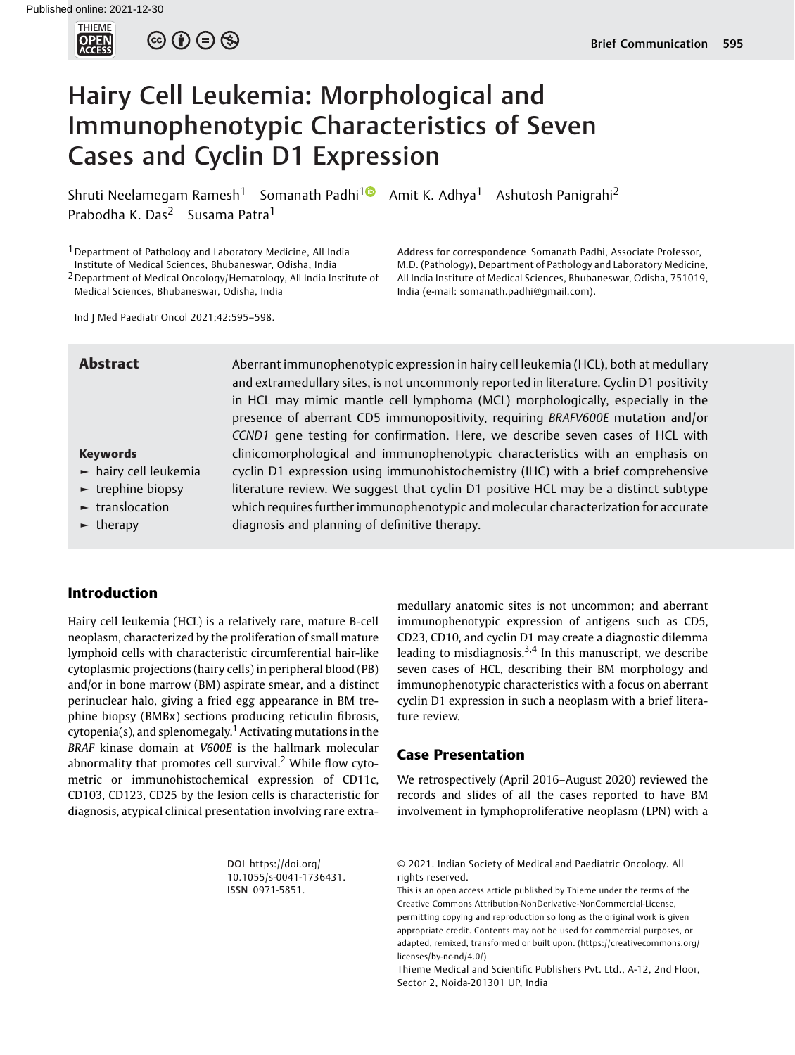

 $\circledcirc \circledcirc \circledcirc$ 

# Hairy Cell Leukemia: Morphological and Immunophenotypic Characteristics of Seven Cases and Cyclin D1 Expression

Shruti Neelamegam Ramesh<sup>1</sup> Somanath Padhi<sup>1</sup> Amit K. Adhya<sup>1</sup> Ashutosh Panigrahi<sup>2</sup> Prabodha K. Das<sup>2</sup> Susama Patra<sup>1</sup>

1Department of Pathology and Laboratory Medicine, All India Institute of Medical Sciences, Bhubaneswar, Odisha, India

2Department of Medical Oncology/Hematology, All India Institute of Medical Sciences, Bhubaneswar, Odisha, India

Address for correspondence Somanath Padhi, Associate Professor, M.D. (Pathology), Department of Pathology and Laboratory Medicine, All India Institute of Medical Sciences, Bhubaneswar, Odisha, 751019, India (e-mail: [somanath.padhi@gmail.com\)](mailto:somanath.padhi@gmail.com).

Ind J Med Paediatr Oncol 2021;42:595–598.

#### Keywords

- ► hairy cell leukemia
- ► trephine biopsy
- ► translocation
- ► therapy

Abstract Aberrant immunophenotypic expression in hairy cell leukemia (HCL), both at medullary and extramedullary sites, is not uncommonly reported in literature. Cyclin D1 positivity in HCL may mimic mantle cell lymphoma (MCL) morphologically, especially in the presence of aberrant CD5 immunopositivity, requiring BRAFV600E mutation and/or CCND1 gene testing for confirmation. Here, we describe seven cases of HCL with clinicomorphological and immunophenotypic characteristics with an emphasis on cyclin D1 expression using immunohistochemistry (IHC) with a brief comprehensive literature review. We suggest that cyclin D1 positive HCL may be a distinct subtype which requires further immunophenotypic and molecular characterization for accurate diagnosis and planning of definitive therapy.

# Introduction

Hairy cell leukemia (HCL) is a relatively rare, mature B-cell neoplasm, characterized by the proliferation of small mature lymphoid cells with characteristic circumferential hair-like cytoplasmic projections (hairy cells) in peripheral blood (PB) and/or in bone marrow (BM) aspirate smear, and a distinct perinuclear halo, giving a fried egg appearance in BM trephine biopsy (BMBx) sections producing reticulin fibrosis, cytopenia(s), and splenomegaly.<sup>1</sup> Activating mutations in the BRAF kinase domain at V600E is the hallmark molecular abnormality that promotes cell survival.<sup>2</sup> While flow cytometric or immunohistochemical expression of CD11c, CD103, CD123, CD25 by the lesion cells is characteristic for diagnosis, atypical clinical presentation involving rare extramedullary anatomic sites is not uncommon; and aberrant immunophenotypic expression of antigens such as CD5, CD23, CD10, and cyclin D1 may create a diagnostic dilemma leading to misdiagnosis.<sup>3,4</sup> In this manuscript, we describe seven cases of HCL, describing their BM morphology and immunophenotypic characteristics with a focus on aberrant cyclin D1 expression in such a neoplasm with a brief literature review.

## Case Presentation

We retrospectively (April 2016–August 2020) reviewed the records and slides of all the cases reported to have BM involvement in lymphoproliferative neoplasm (LPN) with a

DOI [https://doi.org/](https://doi.org/10.1055/s-0041-1736431) [10.1055/s-0041-1736431](https://doi.org/10.1055/s-0041-1736431). ISSN 0971-5851.

© 2021. Indian Society of Medical and Paediatric Oncology. All rights reserved.

This is an open access article published by Thieme under the terms of the Creative Commons Attribution-NonDerivative-NonCommercial-License, permitting copying and reproduction so long as the original work is given appropriate credit. Contents may not be used for commercial purposes, or adapted, remixed, transformed or built upon. (https://creativecommons.org/ licenses/by-nc-nd/4.0/)

Thieme Medical and Scientific Publishers Pvt. Ltd., A-12, 2nd Floor, Sector 2, Noida-201301 UP, India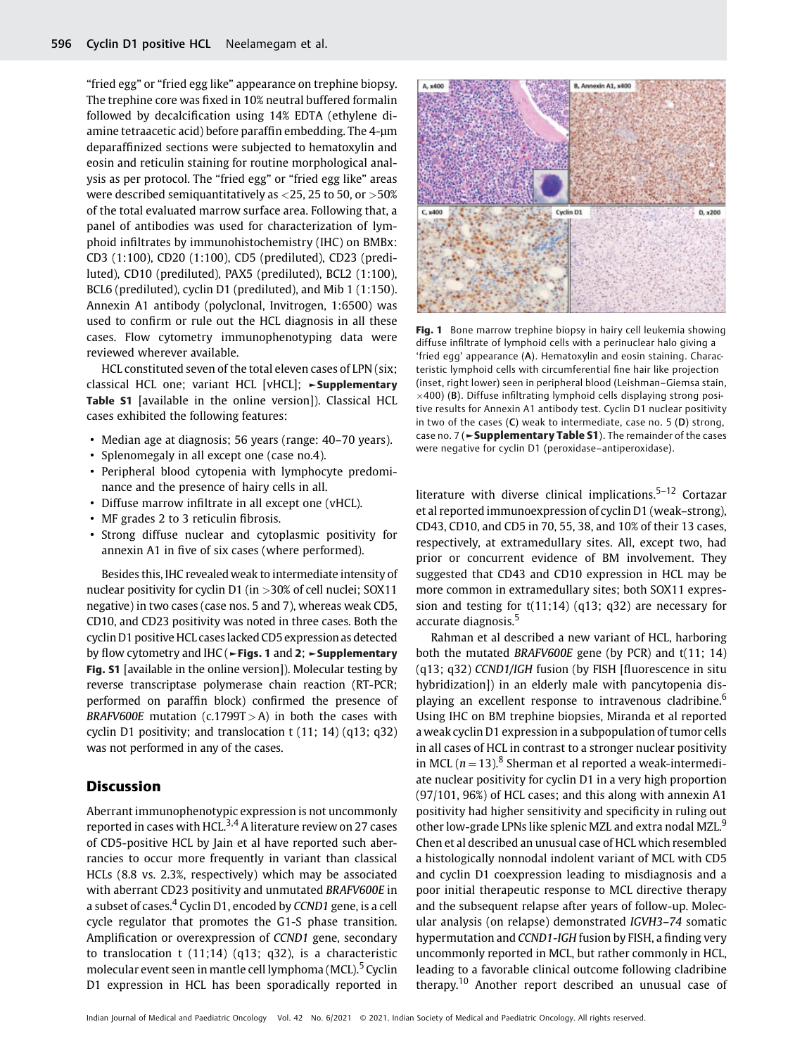"fried egg" or "fried egg like" appearance on trephine biopsy. The trephine core was fixed in 10% neutral buffered formalin followed by decalcification using 14% EDTA (ethylene diamine tetraacetic acid) before paraffin embedding. The 4-µm deparaffinized sections were subjected to hematoxylin and eosin and reticulin staining for routine morphological analysis as per protocol. The "fried egg" or "fried egg like" areas were described semiquantitatively as <25, 25 to 50, or >50% of the total evaluated marrow surface area. Following that, a panel of antibodies was used for characterization of lymphoid infiltrates by immunohistochemistry (IHC) on BMBx: CD3 (1:100), CD20 (1:100), CD5 (prediluted), CD23 (prediluted), CD10 (prediluted), PAX5 (prediluted), BCL2 (1:100), BCL6 (prediluted), cyclin D1 (prediluted), and Mib 1 (1:150). Annexin A1 antibody (polyclonal, Invitrogen, 1:6500) was used to confirm or rule out the HCL diagnosis in all these cases. Flow cytometry immunophenotyping data were reviewed wherever available.

HCL constituted seven of the total eleven cases of LPN (six; classical HCL one; variant HCL [vHCL]; ►Supplementary Table S1 [available in the online version]). Classical HCL cases exhibited the following features:

- Median age at diagnosis; 56 years (range: 40–70 years).
- Splenomegaly in all except one (case no.4).
- Peripheral blood cytopenia with lymphocyte predominance and the presence of hairy cells in all.
- Diffuse marrow infiltrate in all except one (vHCL).
- MF grades 2 to 3 reticulin fibrosis.
- Strong diffuse nuclear and cytoplasmic positivity for annexin A1 in five of six cases (where performed).

Besides this, IHC revealed weak to intermediate intensity of nuclear positivity for cyclin D1 (in >30% of cell nuclei; SOX11 negative) in two cases (case nos. 5 and 7), whereas weak CD5, CD10, and CD23 positivity was noted in three cases. Both the cyclin D1 positive HCL cases lacked CD5 expression as detected by flow cytometry and IHC (►Figs. 1 and 2; ►Supplementary Fig. S1 [available in the online version]). Molecular testing by reverse transcriptase polymerase chain reaction (RT-PCR; performed on paraffin block) confirmed the presence of BRAFV600E mutation (c.1799T  $>$  A) in both the cases with cyclin D1 positivity; and translocation t (11; 14) (q13; q32) was not performed in any of the cases.

# Discussion

Aberrant immunophenotypic expression is not uncommonly reported in cases with HCL.<sup>3,4</sup> A literature review on 27 cases of CD5-positive HCL by Jain et al have reported such aberrancies to occur more frequently in variant than classical HCLs (8.8 vs. 2.3%, respectively) which may be associated with aberrant CD23 positivity and unmutated BRAFV600E in a subset of cases.<sup>4</sup> Cyclin D1, encoded by CCND1 gene, is a cell cycle regulator that promotes the G1-S phase transition. Amplification or overexpression of CCND1 gene, secondary to translocation t (11;14) (q13; q32), is a characteristic molecular event seen in mantle cell lymphoma (MCL).<sup>5</sup> Cyclin D1 expression in HCL has been sporadically reported in



Fig. 1 Bone marrow trephine biopsy in hairy cell leukemia showing diffuse infiltrate of lymphoid cells with a perinuclear halo giving a 'fried egg' appearance (A). Hematoxylin and eosin staining. Characteristic lymphoid cells with circumferential fine hair like projection (inset, right lower) seen in peripheral blood (Leishman–Giemsa stain,  $\times$ 400) (B). Diffuse infiltrating lymphoid cells displaying strong positive results for Annexin A1 antibody test. Cyclin D1 nuclear positivity in two of the cases (C) weak to intermediate, case no. 5 (D) strong, case no. 7 (► Supplementary Table S1). The remainder of the cases were negative for cyclin D1 (peroxidase–antiperoxidase).

literature with diverse clinical implications.<sup>5-12</sup> Cortazar et al reported immunoexpression of cyclin D1 (weak–strong), CD43, CD10, and CD5 in 70, 55, 38, and 10% of their 13 cases, respectively, at extramedullary sites. All, except two, had prior or concurrent evidence of BM involvement. They suggested that CD43 and CD10 expression in HCL may be more common in extramedullary sites; both SOX11 expression and testing for  $t(11;14)$  (q13; q32) are necessary for accurate diagnosis.<sup>5</sup>

Rahman et al described a new variant of HCL, harboring both the mutated BRAFV600E gene (by PCR) and t(11; 14) (q13; q32) CCND1/IGH fusion (by FISH [fluorescence in situ hybridization]) in an elderly male with pancytopenia displaying an excellent response to intravenous cladribine.<sup>6</sup> Using IHC on BM trephine biopsies, Miranda et al reported a weak cyclin D1 expression in a subpopulation of tumor cells in all cases of HCL in contrast to a stronger nuclear positivity in MCL ( $n = 13$ ).<sup>8</sup> Sherman et al reported a weak-intermediate nuclear positivity for cyclin D1 in a very high proportion (97/101, 96%) of HCL cases; and this along with annexin A1 positivity had higher sensitivity and specificity in ruling out other low-grade LPNs like splenic MZL and extra nodal MZL.<sup>9</sup> Chen et al described an unusual case of HCL which resembled a histologically nonnodal indolent variant of MCL with CD5 and cyclin D1 coexpression leading to misdiagnosis and a poor initial therapeutic response to MCL directive therapy and the subsequent relapse after years of follow-up. Molecular analysis (on relapse) demonstrated IGVH3–74 somatic hypermutation and CCND1-IGH fusion by FISH, a finding very uncommonly reported in MCL, but rather commonly in HCL, leading to a favorable clinical outcome following cladribine therapy.<sup>10</sup> Another report described an unusual case of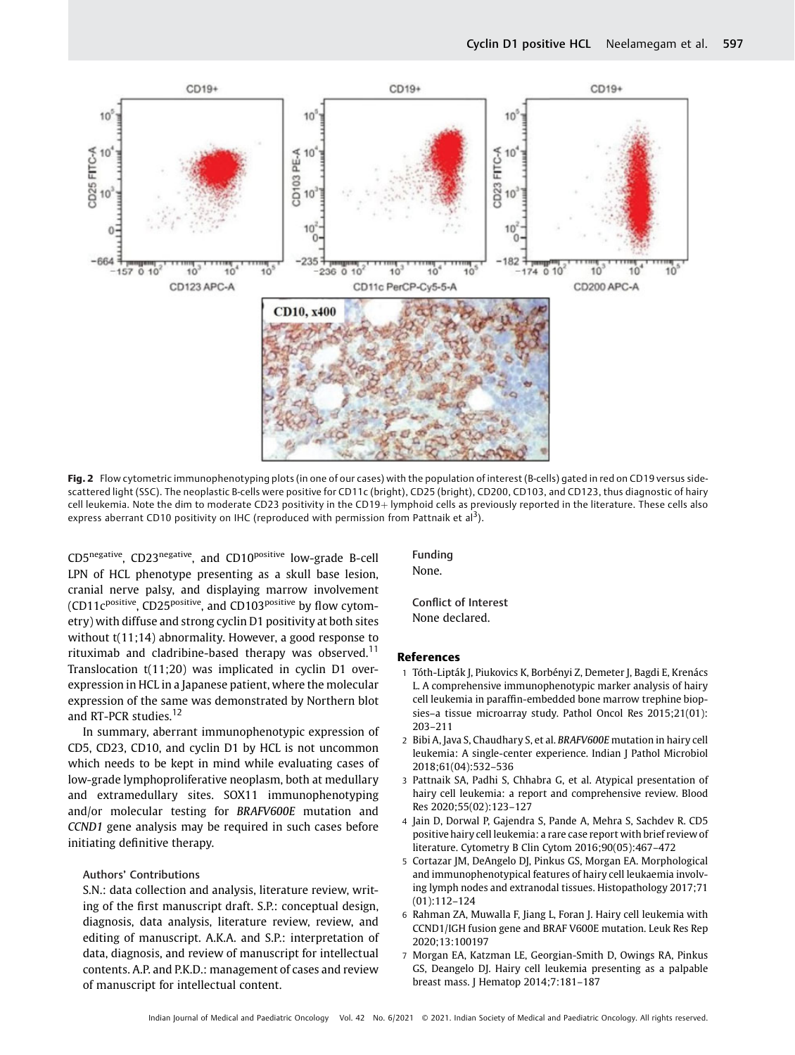

Fig. 2 Flow cytometric immunophenotyping plots (in one of our cases) with the population of interest (B-cells) gated in red on CD19 versus sidescattered light (SSC). The neoplastic B-cells were positive for CD11c (bright), CD25 (bright), CD200, CD103, and CD123, thus diagnostic of hairy cell leukemia. Note the dim to moderate CD23 positivity in the CD19+ lymphoid cells as previously reported in the literature. These cells also express aberrant CD10 positivity on IHC (reproduced with permission from Pattnaik et al<sup>3</sup>).

CD5negative, CD23negative, and CD10positive low-grade B-cell LPN of HCL phenotype presenting as a skull base lesion, cranial nerve palsy, and displaying marrow involvement (CD11c<sup>positive</sup>, CD25<sup>positive</sup>, and CD103<sup>positive</sup> by flow cytometry) with diffuse and strong cyclin D1 positivity at both sites without t(11;14) abnormality. However, a good response to rituximab and cladribine-based therapy was observed.<sup>11</sup> Translocation t(11;20) was implicated in cyclin D1 overexpression in HCL in a Japanese patient, where the molecular expression of the same was demonstrated by Northern blot and RT-PCR studies.<sup>12</sup>

In summary, aberrant immunophenotypic expression of CD5, CD23, CD10, and cyclin D1 by HCL is not uncommon which needs to be kept in mind while evaluating cases of low-grade lymphoproliferative neoplasm, both at medullary and extramedullary sites. SOX11 immunophenotyping and/or molecular testing for BRAFV600E mutation and CCND1 gene analysis may be required in such cases before initiating definitive therapy.

### Authors' Contributions

S.N.: data collection and analysis, literature review, writing of the first manuscript draft. S.P.: conceptual design, diagnosis, data analysis, literature review, review, and editing of manuscript. A.K.A. and S.P.: interpretation of data, diagnosis, and review of manuscript for intellectual contents. A.P. and P.K.D.: management of cases and review of manuscript for intellectual content.

Funding None.

Conflict of Interest None declared.

#### References

- 1 Tóth-Lipták J, Piukovics K, Borbényi Z, Demeter J, Bagdi E, Krenács L. A comprehensive immunophenotypic marker analysis of hairy cell leukemia in paraffin-embedded bone marrow trephine biopsies–a tissue microarray study. Pathol Oncol Res 2015;21(01): 203–211
- 2 Bibi A, Java S, Chaudhary S, et al. BRAFV600E mutation in hairy cell leukemia: A single-center experience. Indian J Pathol Microbiol 2018;61(04):532–536
- 3 Pattnaik SA, Padhi S, Chhabra G, et al. Atypical presentation of hairy cell leukemia: a report and comprehensive review. Blood Res 2020;55(02):123–127
- 4 Jain D, Dorwal P, Gajendra S, Pande A, Mehra S, Sachdev R. CD5 positive hairy cell leukemia: a rare case report with brief review of literature. Cytometry B Clin Cytom 2016;90(05):467–472
- 5 Cortazar JM, DeAngelo DJ, Pinkus GS, Morgan EA. Morphological and immunophenotypical features of hairy cell leukaemia involving lymph nodes and extranodal tissues. Histopathology 2017;71 (01):112–124
- 6 Rahman ZA, Muwalla F, Jiang L, Foran J. Hairy cell leukemia with CCND1/IGH fusion gene and BRAF V600E mutation. Leuk Res Rep 2020;13:100197
- 7 Morgan EA, Katzman LE, Georgian-Smith D, Owings RA, Pinkus GS, Deangelo DJ. Hairy cell leukemia presenting as a palpable breast mass. J Hematop 2014;7:181–187